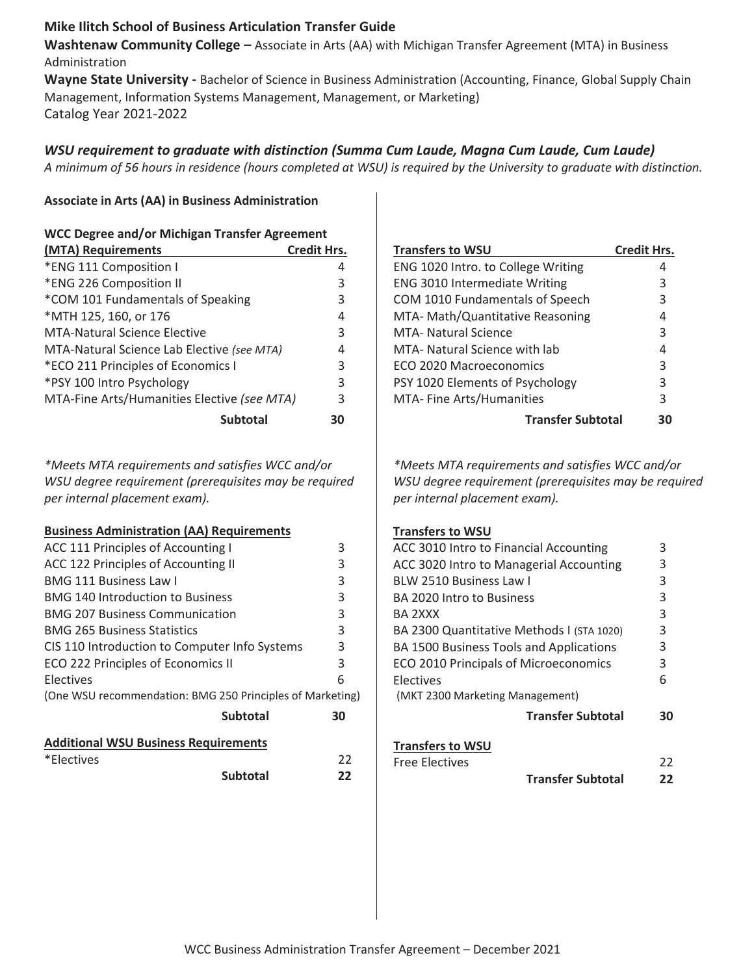### **Mike Ilitch School of Business Articulation Transfer Guide**

**Washtenaw Community College –** Associate in Arts (AA) with Michigan Transfer Agreement (MTA) in Business Administration

**Wayne State University -** Bachelor of Science in Business Administration (Accounting, Finance, Global Supply Chain Management, Information Systems Management, Management, or Marketing) Catalog Year 2021-2022

# *WSU requirement to graduate with distinction (Summa Cum Laude, Magna Cum Laude, Cum Laude)*

*A minimum of 56 hours in residence (hours completed at WSU) is required by the University to graduate with distinction.* 

#### **Associate in Arts (AA) in Business Administration**

| <b>WCC Degree and/or Michigan Transfer Agreement</b> |                    |  |
|------------------------------------------------------|--------------------|--|
| (MTA) Requirements                                   | <b>Credit Hrs.</b> |  |
| *ENG 111 Composition I                               | 4                  |  |
| *ENG 226 Composition II                              | 3                  |  |
| *COM 101 Fundamentals of Speaking                    | 3                  |  |
| *MTH 125, 160, or 176                                | 4                  |  |
| <b>MTA-Natural Science Elective</b>                  | 3                  |  |
| MTA-Natural Science Lab Elective (see MTA)           | 4                  |  |
| *ECO 211 Principles of Economics I                   | 3                  |  |
| *PSY 100 Intro Psychology                            | 3                  |  |
| MTA-Fine Arts/Humanities Elective (see MTA)          | 3                  |  |
| <b>Subtotal</b>                                      | 30                 |  |

*\*Meets MTA requirements and satisfies WCC and/or WSU degree requirement (prerequisites may be required per internal placement exam).*

#### **Business Administration (AA) Requirements**

|                                                           | <b>Subtotal</b> | 22 |
|-----------------------------------------------------------|-----------------|----|
| *Electives                                                |                 | 22 |
| <b>Additional WSU Business Requirements</b>               |                 |    |
|                                                           | <b>Subtotal</b> | 30 |
| (One WSU recommendation: BMG 250 Principles of Marketing) |                 |    |
| <b>Electives</b>                                          |                 | 6  |
| ECO 222 Principles of Economics II                        |                 | 3  |
| CIS 110 Introduction to Computer Info Systems             |                 | 3  |
| <b>BMG 265 Business Statistics</b>                        |                 | 3  |
| <b>BMG 207 Business Communication</b>                     |                 | 3  |
| <b>BMG 140 Introduction to Business</b>                   |                 | 3  |
| <b>BMG 111 Business Law I</b>                             |                 | 3  |
| ACC 122 Principles of Accounting II                       |                 | 3  |
| ACC 111 Principles of Accounting I                        |                 | 3  |
|                                                           |                 |    |

| <b>Transfers to WSU</b>            | <b>Credit Hrs.</b> |
|------------------------------------|--------------------|
| ENG 1020 Intro. to College Writing |                    |
| ENG 3010 Intermediate Writing      | 3                  |
| COM 1010 Fundamentals of Speech    | 3                  |
| MTA- Math/Quantitative Reasoning   | 4                  |
| <b>MTA- Natural Science</b>        | 3                  |
| MTA- Natural Science with lab      | 4                  |
| ECO 2020 Macroeconomics            | 3                  |
| PSY 1020 Elements of Psychology    | 3                  |
| MTA- Fine Arts/Humanities          | 3                  |
| <b>Transfer Subtotal</b>           |                    |

*\*Meets MTA requirements and satisfies WCC and/or WSU degree requirement (prerequisites may be required per internal placement exam).*

#### **Transfers to WSU**

| 3  |
|----|
| 3  |
| 3  |
| 3  |
| 3  |
| 3  |
| 3  |
| 3  |
| 6  |
|    |
| 30 |
|    |
| 22 |
| 22 |
|    |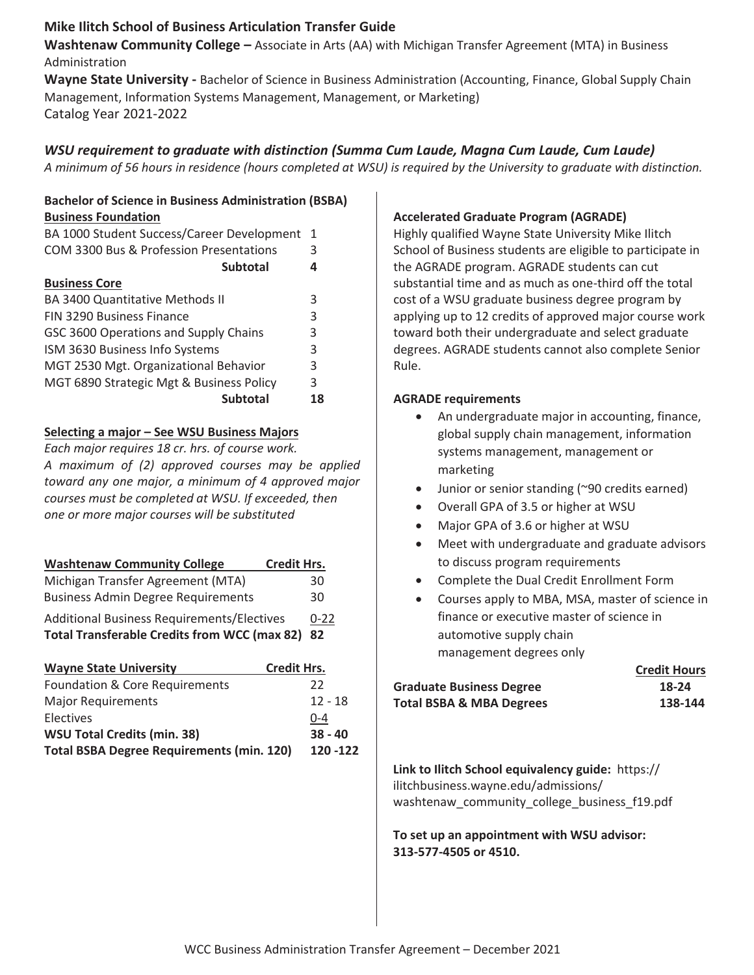# **Mike Ilitch School of Business Articulation Transfer Guide**

**Washtenaw Community College –** Associate in Arts (AA) with Michigan Transfer Agreement (MTA) in Business Administration

**Wayne State University -** Bachelor of Science in Business Administration (Accounting, Finance, Global Supply Chain Management, Information Systems Management, Management, or Marketing) Catalog Year 2021-2022

# *WSU requirement to graduate with distinction (Summa Cum Laude, Magna Cum Laude, Cum Laude)*

*A minimum of 56 hours in residence (hours completed at WSU) is required by the University to graduate with distinction.* 

#### **Bachelor of Science in Business Administration (BSBA) Business Foundation**

| BA 1000 Student Success/Career Development | $\mathbf{1}$ |
|--------------------------------------------|--------------|
| COM 3300 Bus & Profession Presentations    | 3            |
| <b>Subtotal</b>                            | 4            |
| <b>Business Core</b>                       |              |
| <b>BA 3400 Quantitative Methods II</b>     | 3            |
| FIN 3290 Business Finance                  | 3            |
| GSC 3600 Operations and Supply Chains      | 3            |
| ISM 3630 Business Info Systems             | 3            |
| MGT 2530 Mgt. Organizational Behavior      | 3            |
| MGT 6890 Strategic Mgt & Business Policy   | 3            |
| <b>Subtotal</b>                            | 18           |

### **Selecting a major – See WSU Business Majors**

*Each major requires 18 cr. hrs. of course work. A maximum of (2) approved courses may be applied toward any one major, a minimum of 4 approved major courses must be completed at WSU. If exceeded, then one or more major courseƐ will be substituted*

| <b>Washtenaw Community College</b><br><b>Credit Hrs.</b> |          |
|----------------------------------------------------------|----------|
| Michigan Transfer Agreement (MTA)                        | 30       |
| <b>Business Admin Degree Requirements</b>                | 30       |
| <b>Additional Business Requirements/Electives</b>        | $0 - 22$ |
| Total Transferable Credits from WCC (max 82) 82          |          |

| <b>Wayne State University</b>                    | <b>Credit Hrs.</b> |
|--------------------------------------------------|--------------------|
| <b>Foundation &amp; Core Requirements</b>        | 22                 |
| <b>Major Requirements</b>                        | $12 - 18$          |
| Electives                                        | 0-4                |
| <b>WSU Total Credits (min. 38)</b>               | $38 - 40$          |
| <b>Total BSBA Degree Requirements (min. 120)</b> | 120 - 122          |

### **Accelerated Graduate Program (AGRADE)**

Highly qualified Wayne State University Mike Ilitch School of Business students are eligible to participate in the AGRADE program. AGRADE students can cut substantial time and as much as one-third off the total cost of a WSU graduate business degree program by applying up to 12 credits of approved major course work toward both their undergraduate and select graduate degrees. AGRADE students cannot also complete Senior Rule.

#### **AGRADE requirements**

- An undergraduate major in accounting, finance, global supply chain management, information systems management, management or marketing
- $\bullet$  Junior or senior standing (~90 credits earned)
- Overall GPA of 3.5 or higher at WSU
- Major GPA of 3.6 or higher at WSU
- Meet with undergraduate and graduate advisors to discuss program requirements
- Complete the Dual Credit Enrollment Form
- Courses apply to MBA, MSA, master of science in finance or executive master of science in automotive supply chain management degrees only

|                                     | <b>Credit Hours</b> |
|-------------------------------------|---------------------|
| <b>Graduate Business Degree</b>     | 18-24               |
| <b>Total BSBA &amp; MBA Degrees</b> | 138-144             |

**Link to Ilitch School equivalency guide: https://** ilitchbusiness.wayne.edu/admissions/ washtenaw\_community\_college\_business\_f19.pdf

**To set up an appointment with WSU advisor: 313-577-4505 or 4510.**